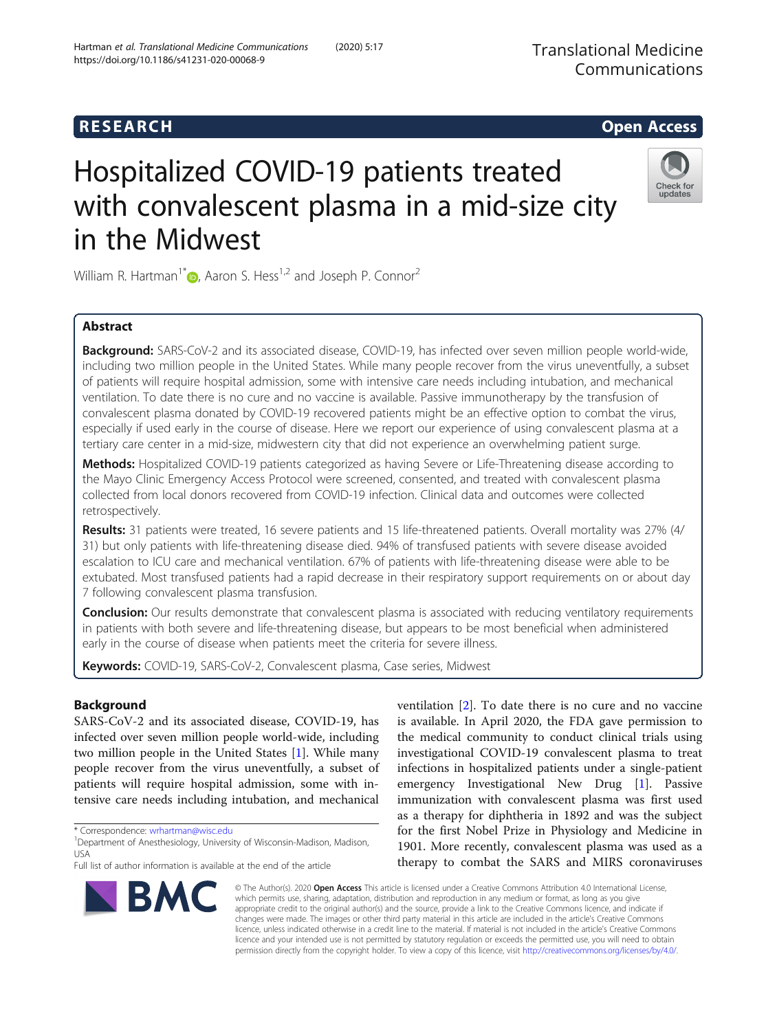# **RESEARCH RESEARCH CONSUMING ACCESS**

# Hospitalized COVID-19 patients treated with convalescent plasma in a mid-size city in the Midwest

William R. Hartman<sup>1[\\*](http://orcid.org/0000-0003-2118-7591)</sup>  $\bullet$ , Aaron S. Hess<sup>1,2</sup> and Joseph P. Connor<sup>2</sup>

# Abstract

Background: SARS-CoV-2 and its associated disease, COVID-19, has infected over seven million people world-wide, including two million people in the United States. While many people recover from the virus uneventfully, a subset of patients will require hospital admission, some with intensive care needs including intubation, and mechanical ventilation. To date there is no cure and no vaccine is available. Passive immunotherapy by the transfusion of convalescent plasma donated by COVID-19 recovered patients might be an effective option to combat the virus, especially if used early in the course of disease. Here we report our experience of using convalescent plasma at a tertiary care center in a mid-size, midwestern city that did not experience an overwhelming patient surge.

Methods: Hospitalized COVID-19 patients categorized as having Severe or Life-Threatening disease according to the Mayo Clinic Emergency Access Protocol were screened, consented, and treated with convalescent plasma collected from local donors recovered from COVID-19 infection. Clinical data and outcomes were collected retrospectively.

Results: 31 patients were treated, 16 severe patients and 15 life-threatened patients. Overall mortality was 27% (4/ 31) but only patients with life-threatening disease died. 94% of transfused patients with severe disease avoided escalation to ICU care and mechanical ventilation. 67% of patients with life-threatening disease were able to be extubated. Most transfused patients had a rapid decrease in their respiratory support requirements on or about day 7 following convalescent plasma transfusion.

Conclusion: Our results demonstrate that convalescent plasma is associated with reducing ventilatory requirements in patients with both severe and life-threatening disease, but appears to be most beneficial when administered early in the course of disease when patients meet the criteria for severe illness.

Keywords: COVID-19, SARS-CoV-2, Convalescent plasma, Case series, Midwest

# Background

SARS-CoV-2 and its associated disease, COVID-19, has infected over seven million people world-wide, including two million people in the United States [[1](#page-5-0)]. While many people recover from the virus uneventfully, a subset of patients will require hospital admission, some with intensive care needs including intubation, and mechanical

\* Correspondence: [wrhartman@wisc.edu](mailto:wrhartman@wisc.edu) <sup>1</sup>

**BMC** 

Full list of author information is available at the end of the article

ventilation [[2\]](#page-5-0). To date there is no cure and no vaccine is available. In April 2020, the FDA gave permission to the medical community to conduct clinical trials using investigational COVID-19 convalescent plasma to treat infections in hospitalized patients under a single-patient emergency Investigational New Drug [[1\]](#page-5-0). Passive immunization with convalescent plasma was first used as a therapy for diphtheria in 1892 and was the subject for the first Nobel Prize in Physiology and Medicine in 1901. More recently, convalescent plasma was used as a therapy to combat the SARS and MIRS coronaviruses

© The Author(s). 2020 Open Access This article is licensed under a Creative Commons Attribution 4.0 International License, which permits use, sharing, adaptation, distribution and reproduction in any medium or format, as long as you give appropriate credit to the original author(s) and the source, provide a link to the Creative Commons licence, and indicate if changes were made. The images or other third party material in this article are included in the article's Creative Commons licence, unless indicated otherwise in a credit line to the material. If material is not included in the article's Creative Commons licence and your intended use is not permitted by statutory regulation or exceeds the permitted use, you will need to obtain permission directly from the copyright holder. To view a copy of this licence, visit [http://creativecommons.org/licenses/by/4.0/.](http://creativecommons.org/licenses/by/4.0/)





<sup>&</sup>lt;sup>1</sup> Department of Anesthesiology, University of Wisconsin-Madison, Madison, USA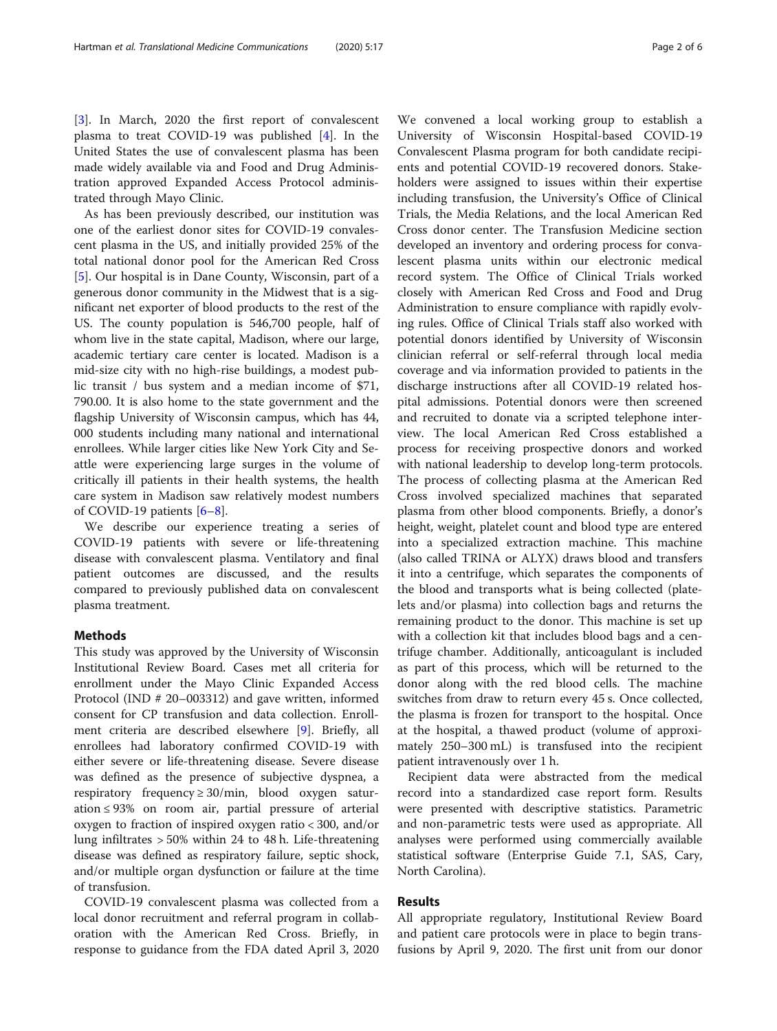[[3\]](#page-5-0). In March, 2020 the first report of convalescent plasma to treat COVID-19 was published [[4\]](#page-5-0). In the United States the use of convalescent plasma has been made widely available via and Food and Drug Administration approved Expanded Access Protocol administrated through Mayo Clinic.

As has been previously described, our institution was one of the earliest donor sites for COVID-19 convalescent plasma in the US, and initially provided 25% of the total national donor pool for the American Red Cross [[5\]](#page-5-0). Our hospital is in Dane County, Wisconsin, part of a generous donor community in the Midwest that is a significant net exporter of blood products to the rest of the US. The county population is 546,700 people, half of whom live in the state capital, Madison, where our large, academic tertiary care center is located. Madison is a mid-size city with no high-rise buildings, a modest public transit / bus system and a median income of \$71, 790.00. It is also home to the state government and the flagship University of Wisconsin campus, which has 44, 000 students including many national and international enrollees. While larger cities like New York City and Seattle were experiencing large surges in the volume of critically ill patients in their health systems, the health care system in Madison saw relatively modest numbers of COVID-19 patients [[6](#page-5-0)–[8](#page-5-0)].

We describe our experience treating a series of COVID-19 patients with severe or life-threatening disease with convalescent plasma. Ventilatory and final patient outcomes are discussed, and the results compared to previously published data on convalescent plasma treatment.

# **Methods**

This study was approved by the University of Wisconsin Institutional Review Board. Cases met all criteria for enrollment under the Mayo Clinic Expanded Access Protocol (IND # 20–003312) and gave written, informed consent for CP transfusion and data collection. Enrollment criteria are described elsewhere [[9](#page-5-0)]. Briefly, all enrollees had laboratory confirmed COVID-19 with either severe or life-threatening disease. Severe disease was defined as the presence of subjective dyspnea, a respiratory frequency  $\geq$  30/min, blood oxygen saturation ≤ 93% on room air, partial pressure of arterial oxygen to fraction of inspired oxygen ratio < 300, and/or lung infiltrates > 50% within 24 to 48 h. Life-threatening disease was defined as respiratory failure, septic shock, and/or multiple organ dysfunction or failure at the time of transfusion.

COVID-19 convalescent plasma was collected from a local donor recruitment and referral program in collaboration with the American Red Cross. Briefly, in response to guidance from the FDA dated April 3, 2020

We convened a local working group to establish a University of Wisconsin Hospital-based COVID-19 Convalescent Plasma program for both candidate recipients and potential COVID-19 recovered donors. Stakeholders were assigned to issues within their expertise including transfusion, the University's Office of Clinical Trials, the Media Relations, and the local American Red Cross donor center. The Transfusion Medicine section developed an inventory and ordering process for convalescent plasma units within our electronic medical record system. The Office of Clinical Trials worked closely with American Red Cross and Food and Drug Administration to ensure compliance with rapidly evolving rules. Office of Clinical Trials staff also worked with potential donors identified by University of Wisconsin clinician referral or self-referral through local media coverage and via information provided to patients in the discharge instructions after all COVID-19 related hospital admissions. Potential donors were then screened and recruited to donate via a scripted telephone interview. The local American Red Cross established a process for receiving prospective donors and worked with national leadership to develop long-term protocols. The process of collecting plasma at the American Red Cross involved specialized machines that separated plasma from other blood components. Briefly, a donor's height, weight, platelet count and blood type are entered into a specialized extraction machine. This machine (also called TRINA or ALYX) draws blood and transfers it into a centrifuge, which separates the components of the blood and transports what is being collected (platelets and/or plasma) into collection bags and returns the remaining product to the donor. This machine is set up with a collection kit that includes blood bags and a centrifuge chamber. Additionally, anticoagulant is included as part of this process, which will be returned to the donor along with the red blood cells. The machine switches from draw to return every 45 s. Once collected, the plasma is frozen for transport to the hospital. Once at the hospital, a thawed product (volume of approximately 250–300 mL) is transfused into the recipient patient intravenously over 1 h.

Recipient data were abstracted from the medical record into a standardized case report form. Results were presented with descriptive statistics. Parametric and non-parametric tests were used as appropriate. All analyses were performed using commercially available statistical software (Enterprise Guide 7.1, SAS, Cary, North Carolina).

# Results

All appropriate regulatory, Institutional Review Board and patient care protocols were in place to begin transfusions by April 9, 2020. The first unit from our donor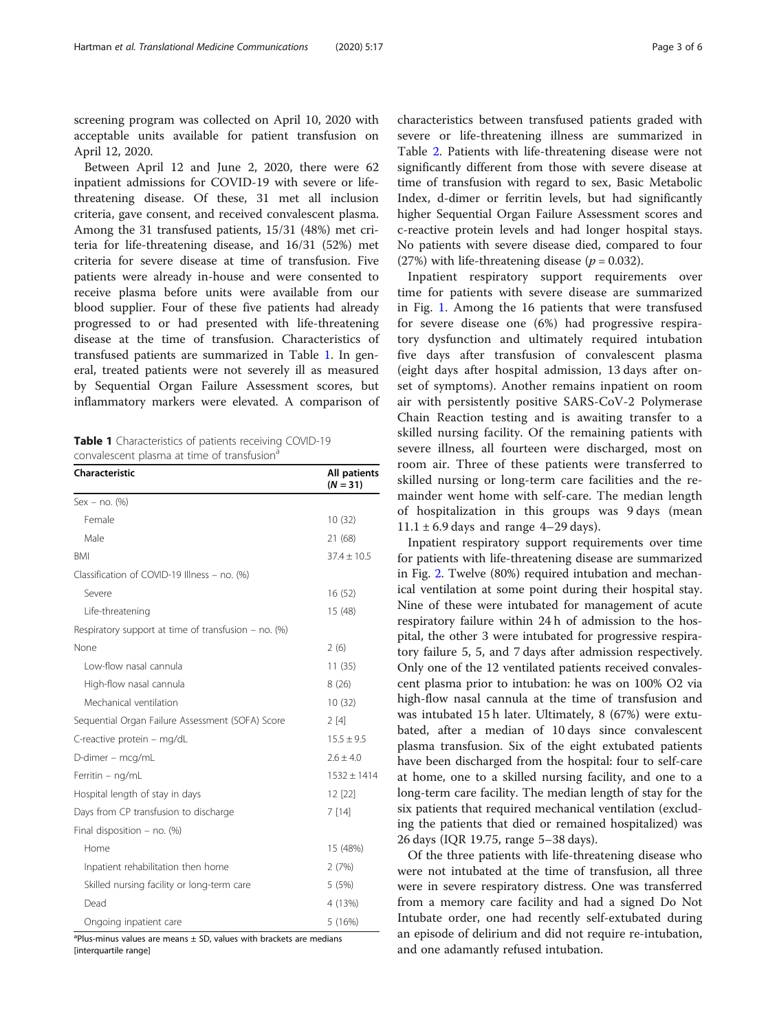screening program was collected on April 10, 2020 with acceptable units available for patient transfusion on April 12, 2020.

Between April 12 and June 2, 2020, there were 62 inpatient admissions for COVID-19 with severe or lifethreatening disease. Of these, 31 met all inclusion criteria, gave consent, and received convalescent plasma. Among the 31 transfused patients, 15/31 (48%) met criteria for life-threatening disease, and 16/31 (52%) met criteria for severe disease at time of transfusion. Five patients were already in-house and were consented to receive plasma before units were available from our blood supplier. Four of these five patients had already progressed to or had presented with life-threatening disease at the time of transfusion. Characteristics of transfused patients are summarized in Table 1. In general, treated patients were not severely ill as measured by Sequential Organ Failure Assessment scores, but inflammatory markers were elevated. A comparison of

Table 1 Characteristics of patients receiving COVID-19 convalescent plasma at time of transfusion<sup>a</sup>

| Characteristic                                         | All patients<br>$(N = 31)$ |  |
|--------------------------------------------------------|----------------------------|--|
| $Sex - no.$ $%$                                        |                            |  |
| Female                                                 | 10(32)                     |  |
| Male                                                   | 21 (68)                    |  |
| <b>BMI</b>                                             | $37.4 \pm 10.5$            |  |
| Classification of COVID-19 Illness – no. (%)           |                            |  |
| Severe                                                 | 16 (52)                    |  |
| Life-threatening                                       | 15 (48)                    |  |
| Respiratory support at time of transfusion $-$ no. (%) |                            |  |
| None                                                   | 2(6)                       |  |
| Low-flow nasal cannula                                 | 11(35)                     |  |
| High-flow nasal cannula                                | 8(26)                      |  |
| Mechanical ventilation                                 | 10(32)                     |  |
| Sequential Organ Failure Assessment (SOFA) Score       | 2[4]                       |  |
| C-reactive protein - mg/dL                             | $15.5 \pm 9.5$             |  |
| D-dimer - mcg/mL                                       | $2.6 \pm 4.0$              |  |
| Ferritin - ng/mL                                       | $1532 \pm 1414$            |  |
| Hospital length of stay in days                        | 12 [22]                    |  |
| Days from CP transfusion to discharge                  | 7[14]                      |  |
| Final disposition $-$ no. (%)                          |                            |  |
| Home                                                   | 15 (48%)                   |  |
| Inpatient rehabilitation then home                     | 2(7%)                      |  |
| Skilled nursing facility or long-term care             | 5 (5%)                     |  |
| Dead                                                   | 4 (13%)                    |  |
| Ongoing inpatient care                                 | 5(16%)                     |  |

<sup>a</sup>Plus-minus values are means  $\pm$  SD, values with brackets are medians [interquartile range]

characteristics between transfused patients graded with severe or life-threatening illness are summarized in Table [2.](#page-3-0) Patients with life-threatening disease were not significantly different from those with severe disease at time of transfusion with regard to sex, Basic Metabolic Index, d-dimer or ferritin levels, but had significantly higher Sequential Organ Failure Assessment scores and c-reactive protein levels and had longer hospital stays. No patients with severe disease died, compared to four (27%) with life-threatening disease ( $p = 0.032$ ).

Inpatient respiratory support requirements over time for patients with severe disease are summarized in Fig. [1](#page-3-0). Among the 16 patients that were transfused for severe disease one (6%) had progressive respiratory dysfunction and ultimately required intubation five days after transfusion of convalescent plasma (eight days after hospital admission, 13 days after onset of symptoms). Another remains inpatient on room air with persistently positive SARS-CoV-2 Polymerase Chain Reaction testing and is awaiting transfer to a skilled nursing facility. Of the remaining patients with severe illness, all fourteen were discharged, most on room air. Three of these patients were transferred to skilled nursing or long-term care facilities and the remainder went home with self-care. The median length of hospitalization in this groups was 9 days (mean  $11.1 \pm 6.9$  days and range 4-29 days).

Inpatient respiratory support requirements over time for patients with life-threatening disease are summarized in Fig. [2](#page-4-0). Twelve (80%) required intubation and mechanical ventilation at some point during their hospital stay. Nine of these were intubated for management of acute respiratory failure within 24 h of admission to the hospital, the other 3 were intubated for progressive respiratory failure 5, 5, and 7 days after admission respectively. Only one of the 12 ventilated patients received convalescent plasma prior to intubation: he was on 100% O2 via high-flow nasal cannula at the time of transfusion and was intubated 15 h later. Ultimately, 8 (67%) were extubated, after a median of 10 days since convalescent plasma transfusion. Six of the eight extubated patients have been discharged from the hospital: four to self-care at home, one to a skilled nursing facility, and one to a long-term care facility. The median length of stay for the six patients that required mechanical ventilation (excluding the patients that died or remained hospitalized) was 26 days (IQR 19.75, range 5–38 days).

Of the three patients with life-threatening disease who were not intubated at the time of transfusion, all three were in severe respiratory distress. One was transferred from a memory care facility and had a signed Do Not Intubate order, one had recently self-extubated during an episode of delirium and did not require re-intubation, and one adamantly refused intubation.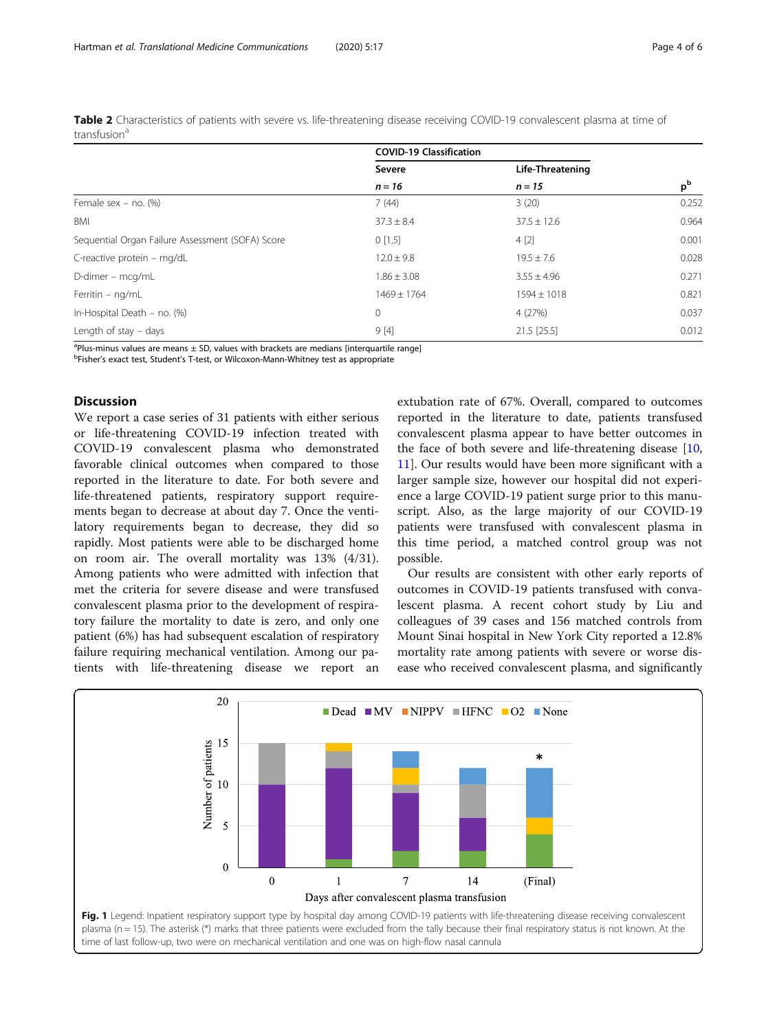|                                                  | <b>COVID-19 Classification</b> |                              |                |
|--------------------------------------------------|--------------------------------|------------------------------|----------------|
|                                                  | Severe<br>$n = 16$             | Life-Threatening<br>$n = 15$ | p <sub>b</sub> |
|                                                  |                                |                              |                |
| Female sex $-$ no. $(\%)$                        | 7(44)                          | 3(20)                        | 0.252          |
| BMI                                              | $37.3 \pm 8.4$                 | $37.5 \pm 12.6$              | 0.964          |
| Sequential Organ Failure Assessment (SOFA) Score | $0$ [1.5]                      | 4[2]                         | 0.001          |
| C-reactive protein - mg/dL                       | $12.0 \pm 9.8$                 | $19.5 \pm 7.6$               | 0.028          |
| D-dimer - mcg/mL                                 | $1.86 \pm 3.08$                | $3.55 \pm 4.96$              | 0.271          |
| Ferritin $-$ ng/mL                               | $1469 \pm 1764$                | $1594 \pm 1018$              | 0.821          |
| In-Hospital Death $-$ no. (%)                    | 0                              | 4 (27%)                      | 0.037          |
| Length of stay - days                            | 9[4]                           | 21.5 [25.5]                  | 0.012          |

<span id="page-3-0"></span>Table 2 Characteristics of patients with severe vs. life-threatening disease receiving COVID-19 convalescent plasma at time of trancfusion<sup>a</sup>

<sup>a</sup>Plus-minus values are means ± SD, values with brackets are medians [interquartile range]

<sup>b</sup>Fisher's exact test, Student's T-test, or Wilcoxon-Mann-Whitney test as appropriate

# **Discussion**

We report a case series of 31 patients with either serious or life-threatening COVID-19 infection treated with COVID-19 convalescent plasma who demonstrated favorable clinical outcomes when compared to those reported in the literature to date. For both severe and life-threatened patients, respiratory support requirements began to decrease at about day 7. Once the ventilatory requirements began to decrease, they did so rapidly. Most patients were able to be discharged home on room air. The overall mortality was 13% (4/31). Among patients who were admitted with infection that met the criteria for severe disease and were transfused convalescent plasma prior to the development of respiratory failure the mortality to date is zero, and only one patient (6%) has had subsequent escalation of respiratory failure requiring mechanical ventilation. Among our patients with life-threatening disease we report an

extubation rate of 67%. Overall, compared to outcomes reported in the literature to date, patients transfused convalescent plasma appear to have better outcomes in the face of both severe and life-threatening disease  $[10,$  $[10,$  $[10,$ [11\]](#page-5-0). Our results would have been more significant with a larger sample size, however our hospital did not experience a large COVID-19 patient surge prior to this manuscript. Also, as the large majority of our COVID-19 patients were transfused with convalescent plasma in this time period, a matched control group was not possible.

Our results are consistent with other early reports of outcomes in COVID-19 patients transfused with convalescent plasma. A recent cohort study by Liu and colleagues of 39 cases and 156 matched controls from Mount Sinai hospital in New York City reported a 12.8% mortality rate among patients with severe or worse disease who received convalescent plasma, and significantly

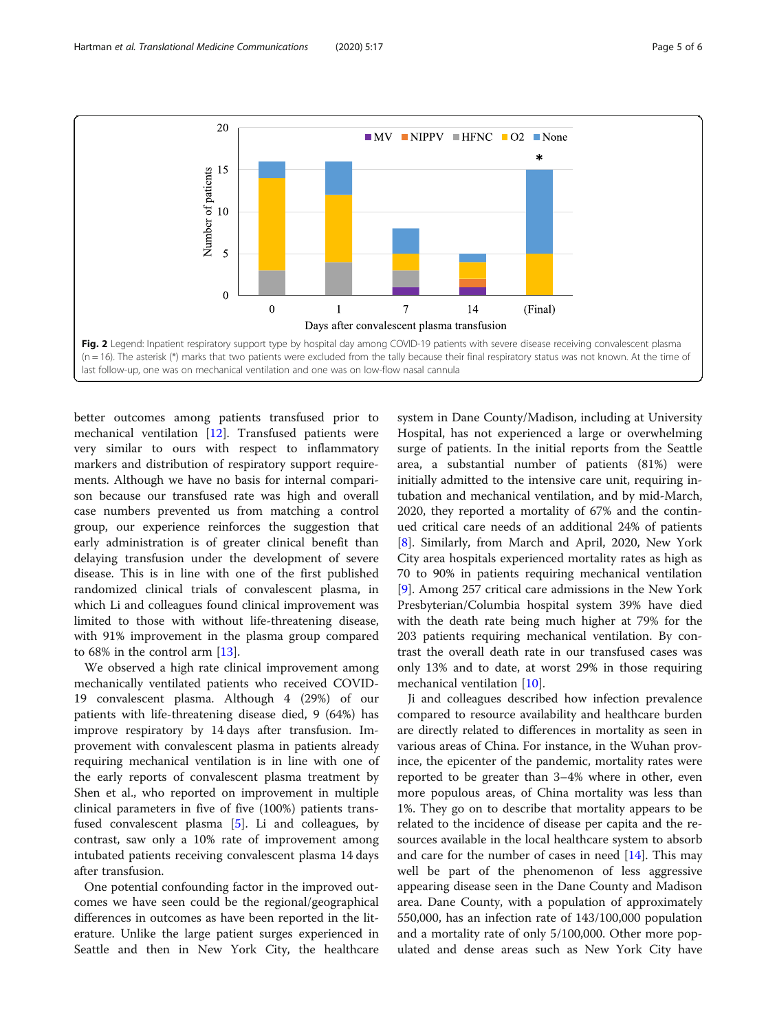<span id="page-4-0"></span>

better outcomes among patients transfused prior to mechanical ventilation [[12\]](#page-5-0). Transfused patients were very similar to ours with respect to inflammatory markers and distribution of respiratory support requirements. Although we have no basis for internal comparison because our transfused rate was high and overall case numbers prevented us from matching a control group, our experience reinforces the suggestion that early administration is of greater clinical benefit than delaying transfusion under the development of severe disease. This is in line with one of the first published randomized clinical trials of convalescent plasma, in which Li and colleagues found clinical improvement was limited to those with without life-threatening disease, with 91% improvement in the plasma group compared to 68% in the control arm [[13\]](#page-5-0).

We observed a high rate clinical improvement among mechanically ventilated patients who received COVID-19 convalescent plasma. Although 4 (29%) of our patients with life-threatening disease died, 9 (64%) has improve respiratory by 14 days after transfusion. Improvement with convalescent plasma in patients already requiring mechanical ventilation is in line with one of the early reports of convalescent plasma treatment by Shen et al., who reported on improvement in multiple clinical parameters in five of five (100%) patients transfused convalescent plasma [[5\]](#page-5-0). Li and colleagues, by contrast, saw only a 10% rate of improvement among intubated patients receiving convalescent plasma 14 days after transfusion.

One potential confounding factor in the improved outcomes we have seen could be the regional/geographical differences in outcomes as have been reported in the literature. Unlike the large patient surges experienced in Seattle and then in New York City, the healthcare

system in Dane County/Madison, including at University Hospital, has not experienced a large or overwhelming surge of patients. In the initial reports from the Seattle area, a substantial number of patients (81%) were initially admitted to the intensive care unit, requiring intubation and mechanical ventilation, and by mid-March, 2020, they reported a mortality of 67% and the continued critical care needs of an additional 24% of patients [[8\]](#page-5-0). Similarly, from March and April, 2020, New York City area hospitals experienced mortality rates as high as 70 to 90% in patients requiring mechanical ventilation [[9\]](#page-5-0). Among 257 critical care admissions in the New York Presbyterian/Columbia hospital system 39% have died with the death rate being much higher at 79% for the 203 patients requiring mechanical ventilation. By contrast the overall death rate in our transfused cases was only 13% and to date, at worst 29% in those requiring mechanical ventilation [\[10\]](#page-5-0).

Ji and colleagues described how infection prevalence compared to resource availability and healthcare burden are directly related to differences in mortality as seen in various areas of China. For instance, in the Wuhan province, the epicenter of the pandemic, mortality rates were reported to be greater than 3–4% where in other, even more populous areas, of China mortality was less than 1%. They go on to describe that mortality appears to be related to the incidence of disease per capita and the resources available in the local healthcare system to absorb and care for the number of cases in need  $[14]$  $[14]$ . This may well be part of the phenomenon of less aggressive appearing disease seen in the Dane County and Madison area. Dane County, with a population of approximately 550,000, has an infection rate of 143/100,000 population and a mortality rate of only 5/100,000. Other more populated and dense areas such as New York City have